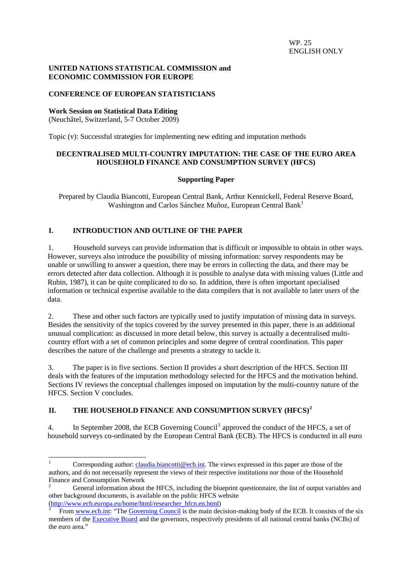## **UNITED NATIONS STATISTICAL COMMISSION and ECONOMIC COMMISSION FOR EUROPE**

# **CONFERENCE OF EUROPEAN STATISTICIANS**

## **Work Session on Statistical Data Editing**

(Neuchâtel, Switzerland, 5-7 October 2009)

Topic (v): Successful strategies for implementing new editing and imputation methods

### **DECENTRALISED MULTI-COUNTRY IMPUTATION: THE CASE OF THE EURO AREA HOUSEHOLD FINANCE AND CONSUMPTION SURVEY (HFCS)**

### **Supporting Paper**

Prepared by Claudia Biancotti, European Central Bank, Arthur Kennickell, Federal Reserve Board, Washington and Carlos Sánchez Muñoz, European Central Bank<sup>[1](#page-0-0)</sup>

# **I. INTRODUCTION AND OUTLINE OF THE PAPER**

1. Household surveys can provide information that is difficult or impossible to obtain in other ways. However, surveys also introduce the possibility of missing information: survey respondents may be unable or unwilling to answer a question, there may be errors in collecting the data, and there may be errors detected after data collection. Although it is possible to analyse data with missing values (Little and Rubin, 1987), it can be quite complicated to do so. In addition, there is often important specialised information or technical expertise available to the data compilers that is not available to later users of the data.

2. These and other such factors are typically used to justify imputation of missing data in surveys. Besides the sensitivity of the topics covered by the survey presented in this paper, there is an additional unusual complication: as discussed in more detail below, this survey is actually a decentralised multicountry effort with a set of common principles and some degree of central coordination. This paper describes the nature of the challenge and presents a strategy to tackle it.

3. The paper is in five sections. Section II provides a short description of the HFCS. Section III deals with the features of the imputation methodology selected for the HFCS and the motivation behind. Sections IV reviews the conceptual challenges imposed on imputation by the multi-country nature of the HFCS. Section V concludes.

# **II. THE HOUSEHOLD FINANCE AND CONSUMPTION SURVEY (HFCS)[2](#page-0-1)**

4. In September 2008, the ECB Governing Council<sup>[3](#page-0-2)</sup> approved the conduct of the HFCS, a set of household surveys co-ordinated by the European Central Bank (ECB). The HFCS is conducted in all euro

<span id="page-0-0"></span> $\frac{1}{1}$ Corresponding author: [claudia.biancotti@ecb.int](mailto:claudia.biancotti@ecb.int). The views expressed in this paper are those of the authors, and do not necessarily represent the views of their respective institutions nor those of the Household Finance and Consumption Network

<span id="page-0-1"></span><sup>2</sup> General information about the HFCS, including the blueprint questionnaire, the list of output variables and other background documents, is available on the public HFCS website [\(http://www.ecb.europa.eu/home/html/researcher\\_hfcn.en.html](http://www.ecb.europa.eu/home/html/researcher_hfcn.en.html)) [3](http://www.ecb.europa.eu/home/html/researcher_hfcn.en.html)

<span id="page-0-2"></span>From [www.ecb.int](http://www.ecb.int/): "The [Governing Council](http://www.ecb.int/ecb/orga/decisions/govc/html/index.en.html) is the main decision-making body of the ECB. It consists of the six members of the **Executive Board** and the governors, respectively presidents of all national central banks (NCBs) of the euro area."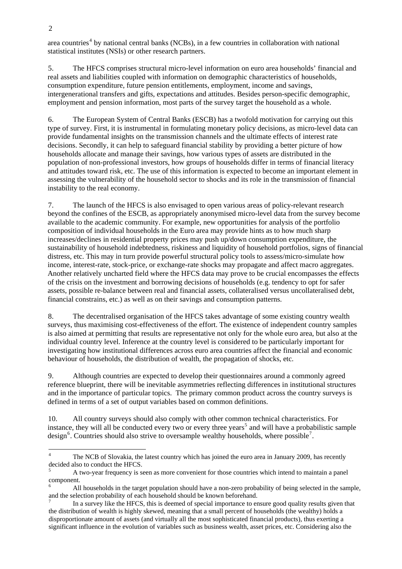area countries<sup>[4](#page-1-0)</sup> by national central banks (NCBs), in a few countries in collaboration with national statistical institutes (NSIs) or other research partners.

5. The HFCS comprises structural micro-level information on euro area households' financial and real assets and liabilities coupled with information on demographic characteristics of households, consumption expenditure, future pension entitlements, employment, income and savings, intergenerational transfers and gifts, expectations and attitudes. Besides person-specific demographic, employment and pension information, most parts of the survey target the household as a whole.

6. The European System of Central Banks (ESCB) has a twofold motivation for carrying out this type of survey. First, it is instrumental in formulating monetary policy decisions, as micro-level data can provide fundamental insights on the transmission channels and the ultimate effects of interest rate decisions. Secondly, it can help to safeguard financial stability by providing a better picture of how households allocate and manage their savings, how various types of assets are distributed in the population of non-professional investors, how groups of households differ in terms of financial literacy and attitudes toward risk, etc. The use of this information is expected to become an important element in assessing the vulnerability of the household sector to shocks and its role in the transmission of financial instability to the real economy.

7. The launch of the HFCS is also envisaged to open various areas of policy-relevant research beyond the confines of the ESCB, as appropriately anonymised micro-level data from the survey become available to the academic community. For example, new opportunities for analysis of the portfolio composition of individual households in the Euro area may provide hints as to how much sharp increases/declines in residential property prices may push up/down consumption expenditure, the sustainability of household indebtedness, riskiness and liquidity of household portfolios, signs of financial distress, etc. This may in turn provide powerful structural policy tools to assess/micro-simulate how income, interest-rate, stock-price, or exchange-rate shocks may propagate and affect macro aggregates. Another relatively uncharted field where the HFCS data may prove to be crucial encompasses the effects of the crisis on the investment and borrowing decisions of households (e.g. tendency to opt for safer assets, possible re-balance between real and financial assets, collateralised versus uncollateralised debt, financial constrains, etc.) as well as on their savings and consumption patterns.

8. The decentralised organisation of the HFCS takes advantage of some existing country wealth surveys, thus maximising cost-effectiveness of the effort. The existence of independent country samples is also aimed at permitting that results are representative not only for the whole euro area, but also at the individual country level. Inference at the country level is considered to be particularly important for investigating how institutional differences across euro area countries affect the financial and economic behaviour of households, the distribution of wealth, the propagation of shocks, etc.

9. Although countries are expected to develop their questionnaires around a commonly agreed reference blueprint, there will be inevitable asymmetries reflecting differences in institutional structures and in the importance of particular topics. The primary common product across the country surveys is defined in terms of a set of output variables based on common definitions.

10. All country surveys should also comply with other common technical characteristics. For instance, they will all be conducted every two or every three years<sup>[5](#page-1-1)</sup> and will have a probabilistic sample design<sup>[6](#page-1-2)</sup>. Countries should also strive to oversample wealthy households, where possible<sup>[7](#page-1-3)</sup>.

1

<span id="page-1-0"></span><sup>4</sup> The NCB of Slovakia, the latest country which has joined the euro area in January 2009, has recently decided also to conduct the HFCS.

<span id="page-1-1"></span><sup>5</sup> A two-year frequency is seen as more convenient for those countries which intend to maintain a panel component.

<span id="page-1-2"></span><sup>6</sup> All households in the target population should have a non-zero probability of being selected in the sample, and the selection probability of each household should be known beforehand. 7

<span id="page-1-3"></span>In a survey like the HFCS, this is deemed of special importance to ensure good quality results given that the distribution of wealth is highly skewed, meaning that a small percent of households (the wealthy) holds a disproportionate amount of assets (and virtually all the most sophisticated financial products), thus exerting a significant influence in the evolution of variables such as business wealth, asset prices, etc. Considering also the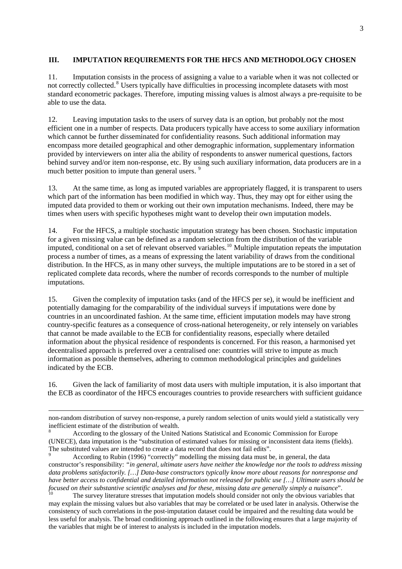## **III. IMPUTATION REQUIREMENTS FOR THE HFCS AND METHODOLOGY CHOSEN**

11. Imputation consists in the process of assigning a value to a variable when it was not collected or not correctly collected.<sup>[8](#page-2-0)</sup> Users typically have difficulties in processing incomplete datasets with most standard econometric packages. Therefore, imputing missing values is almost always a pre-requisite to be able to use the data.

12. Leaving imputation tasks to the users of survey data is an option, but probably not the most efficient one in a number of respects. Data producers typically have access to some auxiliary information which cannot be further disseminated for confidentiality reasons. Such additional information may encompass more detailed geographical and other demographic information, supplementary information provided by interviewers on inter alia the ability of respondents to answer numerical questions, factors behind survey and/or item non-response, etc. By using such auxiliary information, data producers are in a much better position to impute than general users.<sup>[9](#page-2-1)</sup>

13. At the same time, as long as imputed variables are appropriately flagged, it is transparent to users which part of the information has been modified in which way. Thus, they may opt for either using the imputed data provided to them or working out their own imputation mechanisms. Indeed, there may be times when users with specific hypotheses might want to develop their own imputation models.

14. For the HFCS, a multiple stochastic imputation strategy has been chosen. Stochastic imputation for a given missing value can be defined as a random selection from the distribution of the variable imputed, conditional on a set of relevant observed variables.[10](#page-2-2) Multiple imputation repeats the imputation process a number of times, as a means of expressing the latent variability of draws from the conditional distribution. In the HFCS, as in many other surveys, the multiple imputations are to be stored in a set of replicated complete data records, where the number of records corresponds to the number of multiple imputations.

15. Given the complexity of imputation tasks (and of the HFCS per se), it would be inefficient and potentially damaging for the comparability of the individual surveys if imputations were done by countries in an uncoordinated fashion. At the same time, efficient imputation models may have strong country-specific features as a consequence of cross-national heterogeneity, or rely intensely on variables that cannot be made available to the ECB for confidentiality reasons, especially where detailed information about the physical residence of respondents is concerned. For this reason, a harmonised yet decentralised approach is preferred over a centralised one: countries will strive to impute as much information as possible themselves, adhering to common methodological principles and guidelines indicated by the ECB.

16. Given the lack of familiarity of most data users with multiple imputation, it is also important that the ECB as coordinator of the HFCS encourages countries to provide researchers with sufficient guidance

1

non-random distribution of survey non-response, a purely random selection of units would yield a statistically very inefficient estimate of the distribution of wealth.

<span id="page-2-0"></span><sup>8</sup> According to the glossary of the United Nations Statistical and Economic Commission for Europe (UNECE), data imputation is the "substitution of estimated values for missing or inconsistent data items (fields). The substituted values are intended to create a data record that does not fail edits".

<span id="page-2-1"></span>According to Rubin (1996) "correctly" modelling the missing data must be, in general, the data constructor's responsibility: *"in general, ultimate users have neither the knowledge nor the tools to address missing data problems satisfactorily. […] Data-base constructors typically know more about reasons for nonresponse and have better access to confidential and detailed information not released for public use […] Ultimate users should be*  focused on their substantive scientific analyses and for these, missing data are generally simply a nuisance".<br><sup>10</sup> The survey literature stresses that imputation models should consider not only the obvious variables that

<span id="page-2-2"></span>may explain the missing values but also variables that may be correlated or be used later in analysis. Otherwise the consistency of such correlations in the post-imputation dataset could be impaired and the resulting data would be less useful for analysis. The broad conditioning approach outlined in the following ensures that a large majority of the variables that might be of interest to analysts is included in the imputation models.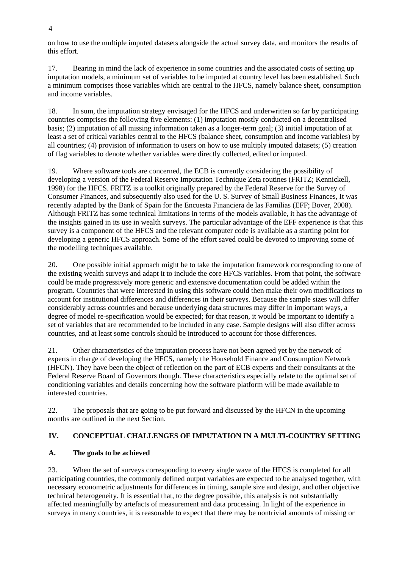on how to use the multiple imputed datasets alongside the actual survey data, and monitors the results of this effort.

17. Bearing in mind the lack of experience in some countries and the associated costs of setting up imputation models, a minimum set of variables to be imputed at country level has been established. Such a minimum comprises those variables which are central to the HFCS, namely balance sheet, consumption and income variables.

18. In sum, the imputation strategy envisaged for the HFCS and underwritten so far by participating countries comprises the following five elements: (1) imputation mostly conducted on a decentralised basis; (2) imputation of all missing information taken as a longer-term goal; (3) initial imputation of at least a set of critical variables central to the HFCS (balance sheet, consumption and income variables) by all countries; (4) provision of information to users on how to use multiply imputed datasets; (5) creation of flag variables to denote whether variables were directly collected, edited or imputed.

19. Where software tools are concerned, the ECB is currently considering the possibility of developing a version of the Federal Reserve Imputation Technique Zeta routines (FRITZ; Kennickell, 1998) for the HFCS. FRITZ is a toolkit originally prepared by the Federal Reserve for the Survey of Consumer Finances, and subsequently also used for the U. S. Survey of Small Business Finances, It was recently adapted by the Bank of Spain for the Encuesta Financiera de las Familias (EFF; Bover, 2008). Although FRITZ has some technical limitations in terms of the models available, it has the advantage of the insights gained in its use in wealth surveys. The particular advantage of the EFF experience is that this survey is a component of the HFCS and the relevant computer code is available as a starting point for developing a generic HFCS approach. Some of the effort saved could be devoted to improving some of the modelling techniques available.

20. One possible initial approach might be to take the imputation framework corresponding to one of the existing wealth surveys and adapt it to include the core HFCS variables. From that point, the software could be made progressively more generic and extensive documentation could be added within the program. Countries that were interested in using this software could then make their own modifications to account for institutional differences and differences in their surveys. Because the sample sizes will differ considerably across countries and because underlying data structures may differ in important ways, a degree of model re-specification would be expected; for that reason, it would be important to identify a set of variables that are recommended to be included in any case. Sample designs will also differ across countries, and at least some controls should be introduced to account for those differences.

21. Other characteristics of the imputation process have not been agreed yet by the network of experts in charge of developing the HFCS, namely the Household Finance and Consumption Network (HFCN). They have been the object of reflection on the part of ECB experts and their consultants at the Federal Reserve Board of Governors though. These characteristics especially relate to the optimal set of conditioning variables and details concerning how the software platform will be made available to interested countries.

22. The proposals that are going to be put forward and discussed by the HFCN in the upcoming months are outlined in the next Section.

# **IV. CONCEPTUAL CHALLENGES OF IMPUTATION IN A MULTI-COUNTRY SETTING**

# **A. The goals to be achieved**

23. When the set of surveys corresponding to every single wave of the HFCS is completed for all participating countries, the commonly defined output variables are expected to be analysed together, with necessary econometric adjustments for differences in timing, sample size and design, and other objective technical heterogeneity. It is essential that, to the degree possible, this analysis is not substantially affected meaningfully by artefacts of measurement and data processing. In light of the experience in surveys in many countries, it is reasonable to expect that there may be nontrivial amounts of missing or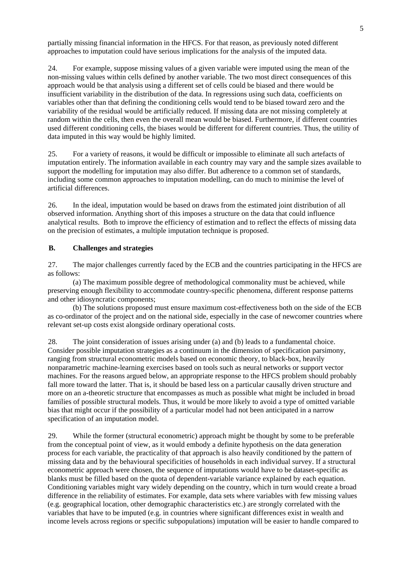partially missing financial information in the HFCS. For that reason, as previously noted different approaches to imputation could have serious implications for the analysis of the imputed data.

24. For example, suppose missing values of a given variable were imputed using the mean of the non-missing values within cells defined by another variable. The two most direct consequences of this approach would be that analysis using a different set of cells could be biased and there would be insufficient variability in the distribution of the data. In regressions using such data, coefficients on variables other than that defining the conditioning cells would tend to be biased toward zero and the variability of the residual would be artificially reduced. If missing data are not missing completely at random within the cells, then even the overall mean would be biased. Furthermore, if different countries used different conditioning cells, the biases would be different for different countries. Thus, the utility of data imputed in this way would be highly limited.

25. For a variety of reasons, it would be difficult or impossible to eliminate all such artefacts of imputation entirely. The information available in each country may vary and the sample sizes available to support the modelling for imputation may also differ. But adherence to a common set of standards, including some common approaches to imputation modelling, can do much to minimise the level of artificial differences.

26. In the ideal, imputation would be based on draws from the estimated joint distribution of all observed information. Anything short of this imposes a structure on the data that could influence analytical results. Both to improve the efficiency of estimation and to reflect the effects of missing data on the precision of estimates, a multiple imputation technique is proposed.

## **B. Challenges and strategies**

27. The major challenges currently faced by the ECB and the countries participating in the HFCS are as follows:

(a) The maximum possible degree of methodological commonality must be achieved, while preserving enough flexibility to accommodate country-specific phenomena, different response patterns and other idiosyncratic components;

(b) The solutions proposed must ensure maximum cost-effectiveness both on the side of the ECB as co-ordinator of the project and on the national side, especially in the case of newcomer countries where relevant set-up costs exist alongside ordinary operational costs.

28. The joint consideration of issues arising under (a) and (b) leads to a fundamental choice. Consider possible imputation strategies as a continuum in the dimension of specification parsimony, ranging from structural econometric models based on economic theory, to black-box, heavily nonparametric machine-learning exercises based on tools such as neural networks or support vector machines. For the reasons argued below, an appropriate response to the HFCS problem should probably fall more toward the latter. That is, it should be based less on a particular causally driven structure and more on an a-theoretic structure that encompasses as much as possible what might be included in broad families of possible structural models. Thus, it would be more likely to avoid a type of omitted variable bias that might occur if the possibility of a particular model had not been anticipated in a narrow specification of an imputation model.

29. While the former (structural econometric) approach might be thought by some to be preferable from the conceptual point of view, as it would embody a definite hypothesis on the data generation process for each variable, the practicality of that approach is also heavily conditioned by the pattern of missing data and by the behavioural specificities of households in each individual survey. If a structural econometric approach were chosen, the sequence of imputations would have to be dataset-specific as blanks must be filled based on the quota of dependent-variable variance explained by each equation. Conditioning variables might vary widely depending on the country, which in turn would create a broad difference in the reliability of estimates. For example, data sets where variables with few missing values (e.g. geographical location, other demographic characteristics etc.) are strongly correlated with the variables that have to be imputed (e.g. in countries where significant differences exist in wealth and income levels across regions or specific subpopulations) imputation will be easier to handle compared to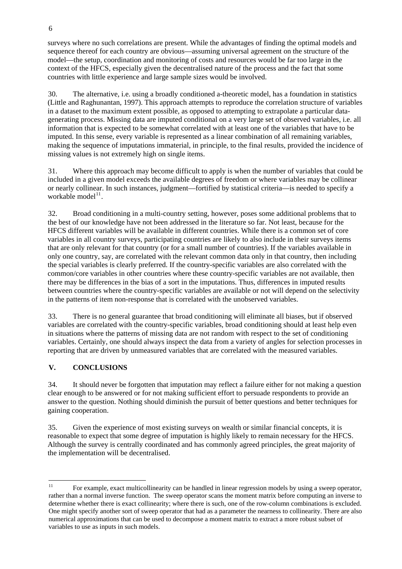surveys where no such correlations are present. While the advantages of finding the optimal models and sequence thereof for each country are obvious—assuming universal agreement on the structure of the model—the setup, coordination and monitoring of costs and resources would be far too large in the context of the HFCS, especially given the decentralised nature of the process and the fact that some countries with little experience and large sample sizes would be involved.

30. The alternative, i.e. using a broadly conditioned a-theoretic model, has a foundation in statistics (Little and Raghunantan, 1997). This approach attempts to reproduce the correlation structure of variables in a dataset to the maximum extent possible, as opposed to attempting to extrapolate a particular datagenerating process. Missing data are imputed conditional on a very large set of observed variables, i.e. all information that is expected to be somewhat correlated with at least one of the variables that have to be imputed. In this sense, every variable is represented as a linear combination of all remaining variables, making the sequence of imputations immaterial, in principle, to the final results, provided the incidence of missing values is not extremely high on single items.

31. Where this approach may become difficult to apply is when the number of variables that could be included in a given model exceeds the available degrees of freedom or where variables may be collinear or nearly collinear. In such instances, judgment—fortified by statistical criteria—is needed to specify a workable model $^{11}$  $^{11}$  $^{11}$ .

32. Broad conditioning in a multi-country setting, however, poses some additional problems that to the best of our knowledge have not been addressed in the literature so far. Not least, because for the HFCS different variables will be available in different countries. While there is a common set of core variables in all country surveys, participating countries are likely to also include in their surveys items that are only relevant for that country (or for a small number of countries). If the variables available in only one country, say, are correlated with the relevant common data only in that country, then including the special variables is clearly preferred. If the country-specific variables are also correlated with the common/core variables in other countries where these country-specific variables are not available, then there may be differences in the bias of a sort in the imputations. Thus, differences in imputed results between countries where the country-specific variables are available or not will depend on the selectivity in the patterns of item non-response that is correlated with the unobserved variables.

33. There is no general guarantee that broad conditioning will eliminate all biases, but if observed variables are correlated with the country-specific variables, broad conditioning should at least help even in situations where the patterns of missing data are not random with respect to the set of conditioning variables. Certainly, one should always inspect the data from a variety of angles for selection processes in reporting that are driven by unmeasured variables that are correlated with the measured variables.

# **V. CONCLUSIONS**

34. It should never be forgotten that imputation may reflect a failure either for not making a question clear enough to be answered or for not making sufficient effort to persuade respondents to provide an answer to the question. Nothing should diminish the pursuit of better questions and better techniques for gaining cooperation.

35. Given the experience of most existing surveys on wealth or similar financial concepts, it is reasonable to expect that some degree of imputation is highly likely to remain necessary for the HFCS. Although the survey is centrally coordinated and has commonly agreed principles, the great majority of the implementation will be decentralised.

<span id="page-5-0"></span> $11$ 11 For example, exact multicollinearity can be handled in linear regression models by using a sweep operator, rather than a normal inverse function. The sweep operator scans the moment matrix before computing an inverse to determine whether there is exact collinearity; where there is such, one of the row-column combinations is excluded. One might specify another sort of sweep operator that had as a parameter the nearness to collinearity. There are also numerical approximations that can be used to decompose a moment matrix to extract a more robust subset of variables to use as inputs in such models.